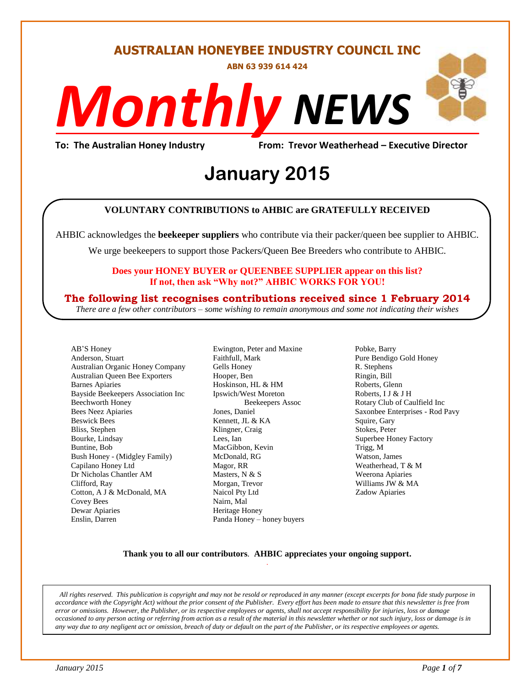#### **AUSTRALIAN HONEYBEE INDUSTRY COUNCIL INC**

**ABN 63 939 614 424**

# *NEWS Monthly*

**To: The Australian Honey Industry From: Trevor Weatherhead – Executive Director**

## *DS* **January 2015**

#### **VOLUNTARY CONTRIBUTIONS to AHBIC are GRATEFULLY RECEIVED**

AHBIC acknowledges the **beekeeper suppliers** who contribute via their packer/queen bee supplier to AHBIC.

We urge beekeepers to support those Packers/Queen Bee Breeders who contribute to AHBIC.

#### **Does your HONEY BUYER or QUEENBEE SUPPLIER appear on this list? If not, then ask "Why not?" AHBIC WORKS FOR YOU!**

#### **The following list recognises contributions received since 1 February 2014**

*There are a few other contributors – some wishing to remain anonymous and some not indicating their wishes*

AB'S Honey Anderson, Stuart Australian Organic Honey Company Australian Queen Bee Exporters Barnes Apiaries Bayside Beekeepers Association Inc Beechworth Honey Bees Neez Apiaries Beswick Bees Bliss, Stephen Bourke, Lindsay Buntine, Bob Bush Honey - (Midgley Family) Capilano Honey Ltd Dr Nicholas Chantler AM Clifford, Ray Cotton, A J & McDonald, MA Covey Bees Dewar Apiaries Enslin, Darren

Ewington, Peter and Maxine Faithfull, Mark Gells Honey Hooper, Ben Hoskinson, HL & HM Ipswich/West Moreton Beekeepers Assoc Jones, Daniel Kennett, JL & KA Klingner, Craig Lees, Ian MacGibbon, Kevin McDonald, RG Magor, RR Masters, N & S Morgan, Trevor Naicol Pty Ltd Nairn, Mal Heritage Honey Panda Honey – honey buyers Pobke, Barry Pure Bendigo Gold Honey R. Stephens Ringin, Bill Roberts, Glenn Roberts, I J & J H Rotary Club of Caulfield Inc Saxonbee Enterprises - Rod Pavy Squire, Gary Stokes, Peter Superbee Honey Factory Trigg, M Watson, James Weatherhead, T & M Weerona Apiaries Williams JW & MA Zadow Apiaries

#### **Thank you to all our contributors***.* **AHBIC appreciates your ongoing support.** .

*All rights reserved. This publication is copyright and may not be resold or reproduced in any manner (except excerpts for bona fide study purpose in accordance with the Copyright Act) without the prior consent of the Publisher. Every effort has been made to ensure that this newsletter is free from error or omissions. However, the Publisher, or its respective employees or agents, shall not accept responsibility for injuries, loss or damage occasioned to any person acting or referring from action as a result of the material in this newsletter whether or not such injury, loss or damage is in any way due to any negligent act or omission, breach of duty or default on the part of the Publisher, or its respective employees or agents.*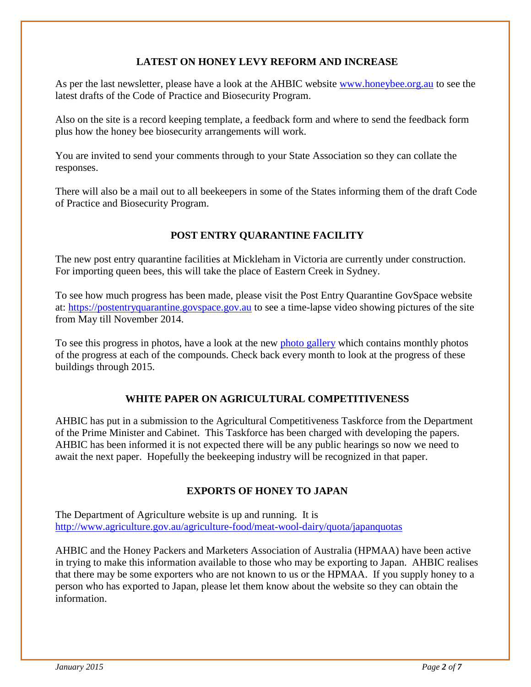#### **LATEST ON HONEY LEVY REFORM AND INCREASE**

As per the last newsletter, please have a look at the AHBIC website [www.honeybee.org.au](http://www.honeybee.org.au/) to see the latest drafts of the Code of Practice and Biosecurity Program.

Also on the site is a record keeping template, a feedback form and where to send the feedback form plus how the honey bee biosecurity arrangements will work.

You are invited to send your comments through to your State Association so they can collate the responses.

There will also be a mail out to all beekeepers in some of the States informing them of the draft Code of Practice and Biosecurity Program.

#### **POST ENTRY QUARANTINE FACILITY**

The new post entry quarantine facilities at Mickleham in Victoria are currently under construction. For importing queen bees, this will take the place of Eastern Creek in Sydney.

To see how much progress has been made, please visit the Post Entry Quarantine GovSpace website at: [https://postentryquarantine.govspace.gov.au](https://postentryquarantine.govspace.gov.au/) to see a time-lapse video showing pictures of the site from May till November 2014.

To see this progress in photos, have a look at the new [photo gallery](https://postentryquarantine.govspace.gov.au/photo-gallery/) which contains monthly photos of the progress at each of the compounds. Check back every month to look at the progress of these buildings through 2015.

#### **WHITE PAPER ON AGRICULTURAL COMPETITIVENESS**

AHBIC has put in a submission to the Agricultural Competitiveness Taskforce from the Department of the Prime Minister and Cabinet. This Taskforce has been charged with developing the papers. AHBIC has been informed it is not expected there will be any public hearings so now we need to await the next paper. Hopefully the beekeeping industry will be recognized in that paper.

#### **EXPORTS OF HONEY TO JAPAN**

The Department of Agriculture website is up and running. It is <http://www.agriculture.gov.au/agriculture-food/meat-wool-dairy/quota/japanquotas>

AHBIC and the Honey Packers and Marketers Association of Australia (HPMAA) have been active in trying to make this information available to those who may be exporting to Japan. AHBIC realises that there may be some exporters who are not known to us or the HPMAA. If you supply honey to a person who has exported to Japan, please let them know about the website so they can obtain the information.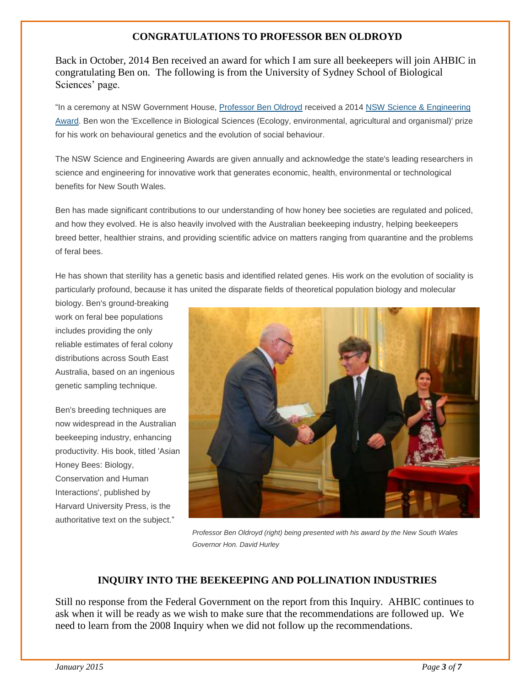#### **CONGRATULATIONS TO PROFESSOR BEN OLDROYD**

Back in October, 2014 Ben received an award for which I am sure all beekeepers will join AHBIC in congratulating Ben on. The following is from the University of Sydney School of Biological Sciences' page.

"In a ceremony at NSW Government House, [Professor Ben Oldroyd](http://sydney.edu.au/science/people/benjamin.oldroyd.php) received a 2014 [NSW Science & Engineering](http://www.chiefscientist.nsw.gov.au/awards/nsw-science-and-engineering-awards-2014)  [Award.](http://www.chiefscientist.nsw.gov.au/awards/nsw-science-and-engineering-awards-2014) Ben won the 'Excellence in Biological Sciences (Ecology, environmental, agricultural and organismal)' prize for his work on behavioural genetics and the evolution of social behaviour.

The NSW Science and Engineering Awards are given annually and acknowledge the state's leading researchers in science and engineering for innovative work that generates economic, health, environmental or technological benefits for New South Wales.

Ben has made significant contributions to our understanding of how honey bee societies are regulated and policed, and how they evolved. He is also heavily involved with the Australian beekeeping industry, helping beekeepers breed better, healthier strains, and providing scientific advice on matters ranging from quarantine and the problems of feral bees.

He has shown that sterility has a genetic basis and identified related genes. His work on the evolution of sociality is particularly profound, because it has united the disparate fields of theoretical population biology and molecular

biology. Ben's ground-breaking work on feral bee populations includes providing the only reliable estimates of feral colony distributions across South East Australia, based on an ingenious genetic sampling technique.

Ben's breeding techniques are now widespread in the Australian beekeeping industry, enhancing productivity. His book, titled 'Asian Honey Bees: Biology, Conservation and Human Interactions', published by Harvard University Press, is the authoritative text on the subject."



 *Professor Ben Oldroyd (right) being presented with his award by the New South Wales Governor Hon. David Hurley*

#### **INQUIRY INTO THE BEEKEEPING AND POLLINATION INDUSTRIES**

Still no response from the Federal Government on the report from this Inquiry. AHBIC continues to ask when it will be ready as we wish to make sure that the recommendations are followed up. We need to learn from the 2008 Inquiry when we did not follow up the recommendations.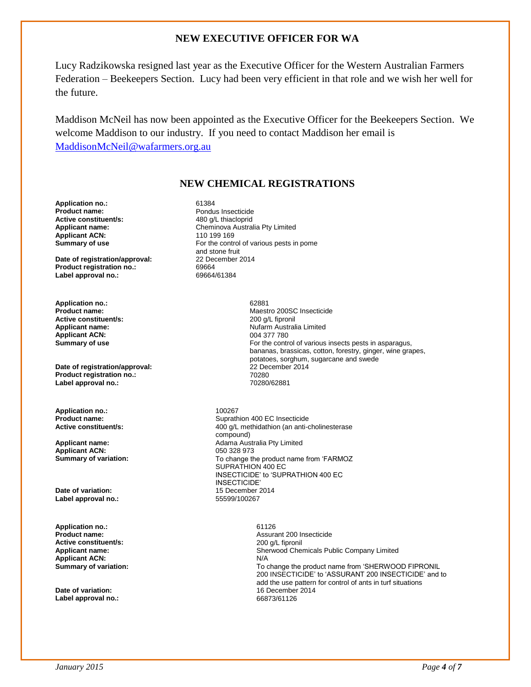#### **NEW EXECUTIVE OFFICER FOR WA**

Lucy Radzikowska resigned last year as the Executive Officer for the Western Australian Farmers Federation – Beekeepers Section. Lucy had been very efficient in that role and we wish her well for the future.

Maddison McNeil has now been appointed as the Executive Officer for the Beekeepers Section. We welcome Maddison to our industry. If you need to contact Maddison her email is [MaddisonMcNeil@wafarmers.org.au](mailto:MaddisonMcNeil@wafarmers.org.au)

#### **NEW CHEMICAL REGISTRATIONS**

**Application no.:** 61384<br> **Product name:** Pondu **Active constituent/s:**<br>**Applicant name: Applicant ACN:**<br>Summary of use

**Date of registration/approval:** 22 Dependent 2014 **Product registration no.:** 69664<br> **Label approval no.:** 69664/61384 **Label approval no.:** 

**Application no.:** 62881 **Active constituent/s:** <br> **Applicant name:** <br> **Applicant name:** <br> **Applicant name:** <br> **Altarm Austral Applicant ACN:** 

**Date of registration/approval:**  $22$  December 2014<br> **Product registration no.:** 70280 **Product registration no.:** 70280 Label approval no.:

**Application no.:** 200267<br> **Product name:** 200207<br>
2011

**Applicant ACN:**<br>Summary of variation:

**Date of variation:** 15 December 2014 **Label approval no.:** 

**Application no.:** 61126 **Active constituent/s:** 200 g/L fipronil **Applicant ACN:** N/A<br> **Summary of variation:** To complete the state of the state of the state of the state of the state of the SNA

**Label approval no.:** 66873/61126

Pondus Insecticide<br>480 q/L thiacloprid Cheminova Australia Pty Limited<br>110 199 169 For the control of various pests in pome and stone fruit<br>22 December 2014

**Maestro 200SC Insecticide Nufarm Australia Limited**<br>004 377 780 **Summary of use For the control of various insects pests in asparagus,** bananas, brassicas, cotton, forestry, ginger, wine grapes, potatoes, sorghum, sugarcane and swede

**Product name: Product name: Suprathion 400 EC Insecticide**<br> **Active constituent/s:** 400 a/l methidathion (an anti-**Active constituent/s:** 400 g/L methidathion (an anti-cholinesterase compound) **Applicant name:** Adama Australia Pty Limited To change the product name from 'FARMOZ SUPRATHION 400 EC INSECTICIDE' to 'SUPRATHION 400 EC INSECTICIDE'

**Product name:** Assurant 200 Insecticide **Applicant name:** Sherwood Chemicals Public Company Limited To change the product name from 'SHERWOOD FIPRONIL 200 INSECTICIDE' to 'ASSURANT 200 INSECTICIDE' and to add the use pattern for control of ants in turf situations **Date of variation: Date of variation: 16 December 2014**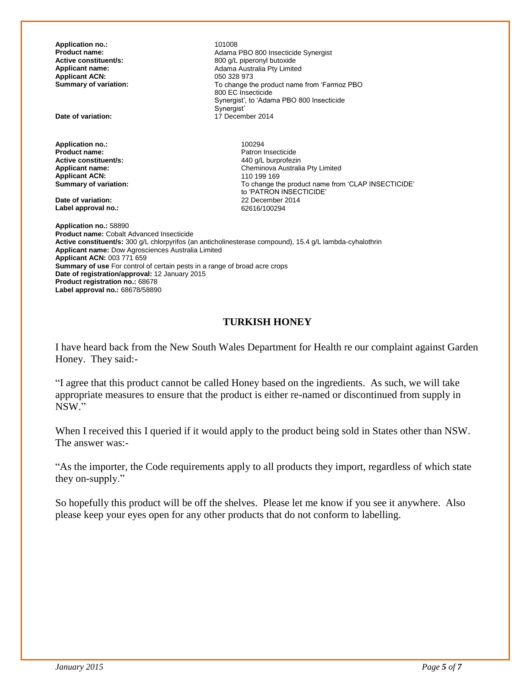**Application no.:** 101008<br> **Product name:** 201008 **Applicant ACN:**<br>Summary of variation:

**Application no.:** 100294<br>**Product name:** 2002/2012 2012 2022 **Active constituent/s:**<br>**Applicant name: Applicant ACN:**<br>**Summary of variation:** 

**Date of variation:** 22 December 2014 Label approval no.:

**Product name:** <br>**Adama PBO 800 Insecticide Synergist**<br>**Active constituent/s:** <br>**Active constituent/s:** <br>**Active constituent/s:** <br>**Active constituent/s: Active constituent/s:** <br>**Applicant name:** <br>**Adama Australia Pty Limite**<br>**Adama Australia Pty Limite** Adama Australia Pty Limited<br>050 328 973 To change the product name from 'Farmoz PBO 800 EC Insecticide Synergist', to 'Adama PBO 800 Insecticide Synergist' **Date of variation:** 17 December 2014

> Patron Insecticide<br>440 q/L burprofezin Cheminova Australia Pty Limited<br>110 199 169 To change the product name from 'CLAP INSECTICIDE' to 'PATRON INSECTICIDE'

**Application no.:** 58890 **Product name:** Cobalt Advanced Insecticide **Active constituent/s:** 300 g/L chlorpyrifos (an anticholinesterase compound), 15.4 g/L lambda-cyhalothrin **Applicant name:** Dow Agrosciences Australia Limited **Applicant ACN:** 003 771 659 **Summary of use** For control of certain pests in a range of broad acre crops **Date of registration/approval:** 12 January 2015 **Product registration no.:** 68678 **Label approval no.:** 68678/58890

#### **TURKISH HONEY**

I have heard back from the New South Wales Department for Health re our complaint against Garden Honey. They said:-

"I agree that this product cannot be called Honey based on the ingredients. As such, we will take appropriate measures to ensure that the product is either re-named or discontinued from supply in NSW."

When I received this I queried if it would apply to the product being sold in States other than NSW. The answer was:-

"As the importer, the Code requirements apply to all products they import, regardless of which state they on-supply."

So hopefully this product will be off the shelves. Please let me know if you see it anywhere. Also please keep your eyes open for any other products that do not conform to labelling.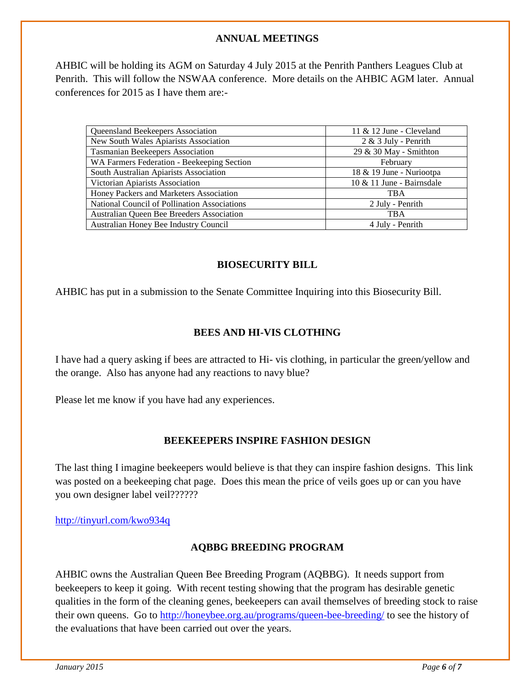#### **ANNUAL MEETINGS**

AHBIC will be holding its AGM on Saturday 4 July 2015 at the Penrith Panthers Leagues Club at Penrith. This will follow the NSWAA conference. More details on the AHBIC AGM later. Annual conferences for 2015 as I have them are:-

| Queensland Beekeepers Association            | 11 $&$ 12 June - Cleveland   |
|----------------------------------------------|------------------------------|
| New South Wales Apiarists Association        | $2 & 3$ July - Penrith       |
| <b>Tasmanian Beekeepers Association</b>      | 29 & 30 May - Smithton       |
| WA Farmers Federation - Beekeeping Section   | February                     |
| South Australian Apiarists Association       | 18 & 19 June - Nuriootpa     |
| Victorian Apiarists Association              | $10 \& 11$ June - Bairnsdale |
| Honey Packers and Marketers Association      | <b>TBA</b>                   |
| National Council of Pollination Associations | 2 July - Penrith             |
| Australian Queen Bee Breeders Association    | <b>TBA</b>                   |
| Australian Honey Bee Industry Council        | 4 July - Penrith             |

#### **BIOSECURITY BILL**

AHBIC has put in a submission to the Senate Committee Inquiring into this Biosecurity Bill.

#### **BEES AND HI-VIS CLOTHING**

I have had a query asking if bees are attracted to Hi- vis clothing, in particular the green/yellow and the orange. Also has anyone had any reactions to navy blue?

Please let me know if you have had any experiences.

#### **BEEKEEPERS INSPIRE FASHION DESIGN**

The last thing I imagine beekeepers would believe is that they can inspire fashion designs. This link was posted on a beekeeping chat page. Does this mean the price of veils goes up or can you have you own designer label veil??????

<http://tinyurl.com/kwo934q>

#### **AQBBG BREEDING PROGRAM**

AHBIC owns the Australian Queen Bee Breeding Program (AQBBG). It needs support from beekeepers to keep it going. With recent testing showing that the program has desirable genetic qualities in the form of the cleaning genes, beekeepers can avail themselves of breeding stock to raise their own queens. Go to<http://honeybee.org.au/programs/queen-bee-breeding/> to see the history of the evaluations that have been carried out over the years.